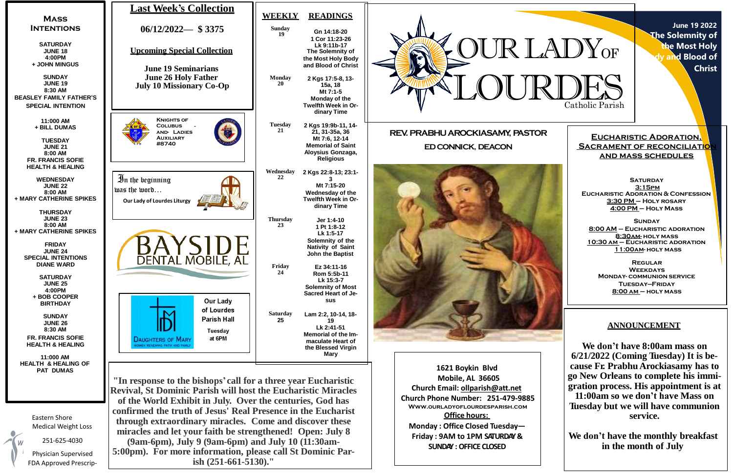**June 19 2022 The Solemnity of the Most Holy Body and Blood of Christ**

**SATURDAY 3:15pm Eucharistic Adoration & Confession 3:30 PM – Holy rosary 4:00 PM – Holy Mass**

**Eucharistic Adoration, SACRAMENT OF RECONCILIATION and mass schedules**

**Sunday 8:00 AM – Eucharistic adoration 8:30am- holy mass 10:30 am – Eucharistic adoration 11:00am- holy mass**

**Regular Weekdays Monday- communion service Tuesday—Friday 8:00 am – holy mass**



**Office hours: Monday : Office Closed Tuesday— Friday : 9AM to 1PM SATURDAY& SUNDAY :OFFICE CLOSED**

Eastern Shore Medical Weight Loss

251-625-4030

Physician Supervised FDA Approved Prescrip-

**confirmed the truth of Jesus' Real Presence in the Eucharist through extraordinary miracles. Come and discover these miracles and let your faith be strengthened! Open: July 8 (9am-6pm), July 9 (9am-6pm) and July 10 (11:30am-5:00pm). For more information, please call St Dominic Parish (251-661-5130)."**

# **ANNOUNCEMENT**

**We don't have 8:00am mass on 6/21/2022 (Coming Tuesday) It is because Fr. Prabhu Arockiasamy has to go New Orleans to complete his immigration process. His appointment is at 11:00am so we don't have Mass on Tuesday but we will have communion service.**

**We don't have the monthly breakfast in the month of July**